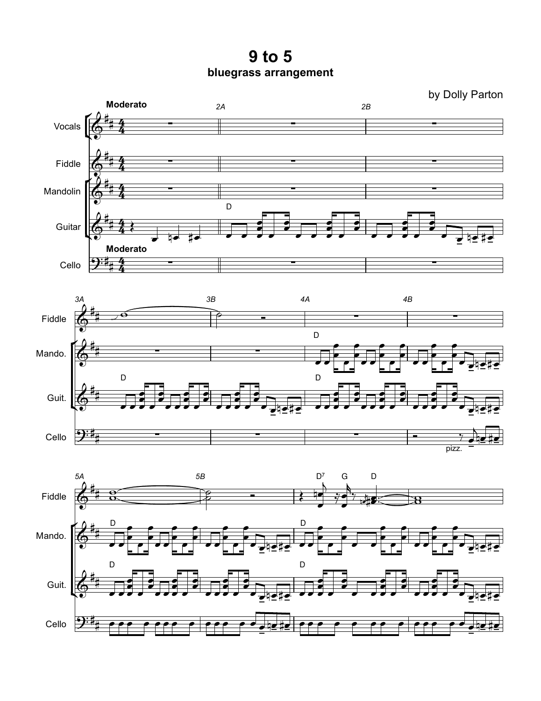**9 to 5 bluegrass arrangement**





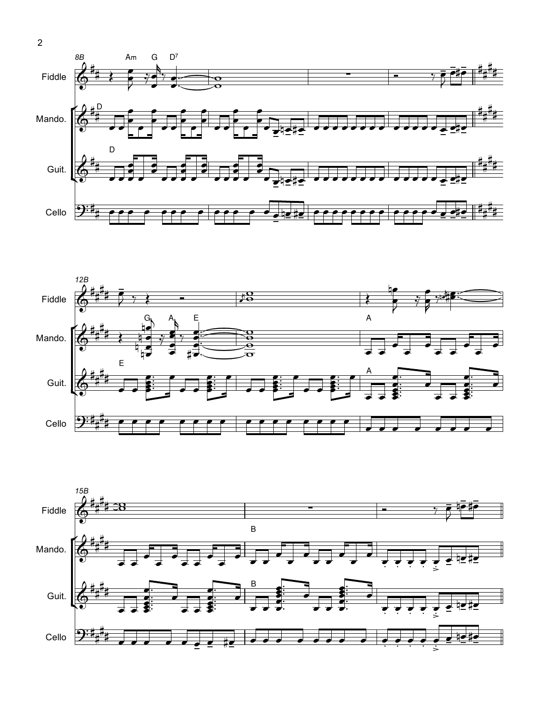





 $\overline{2}$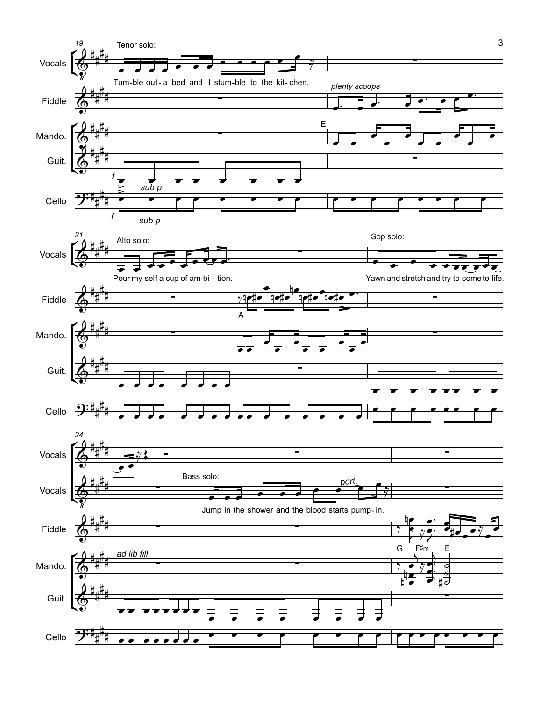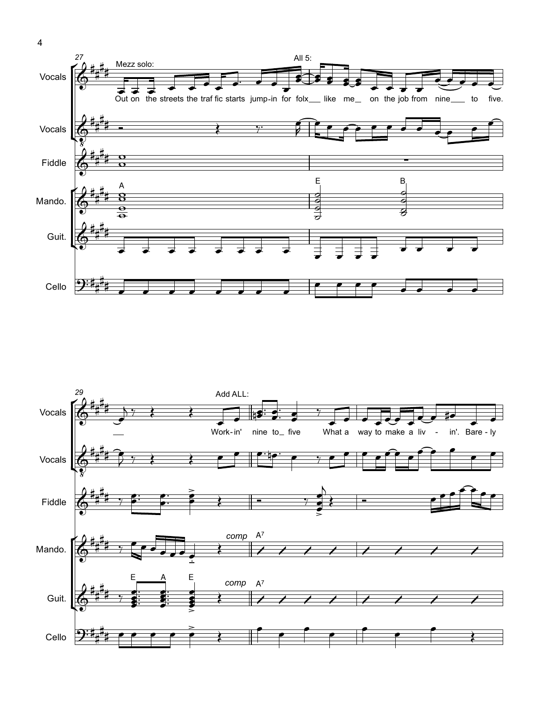



4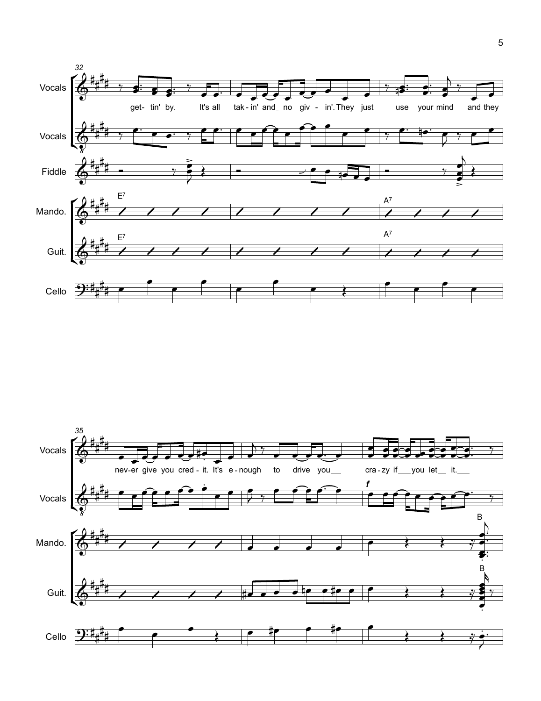

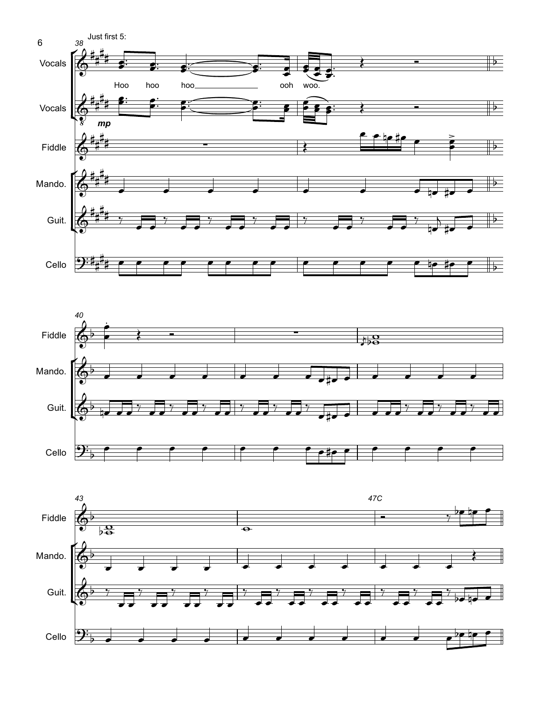



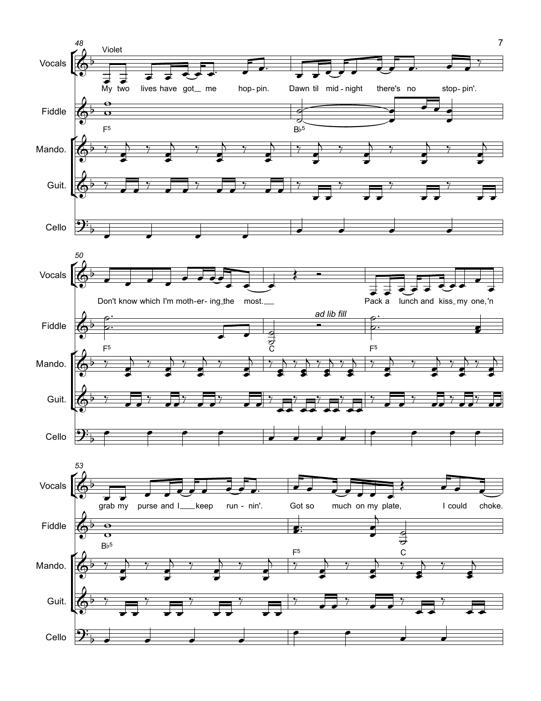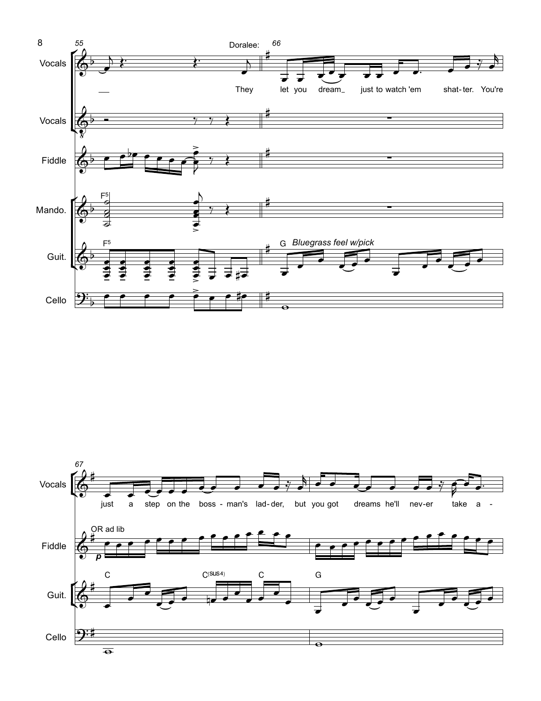

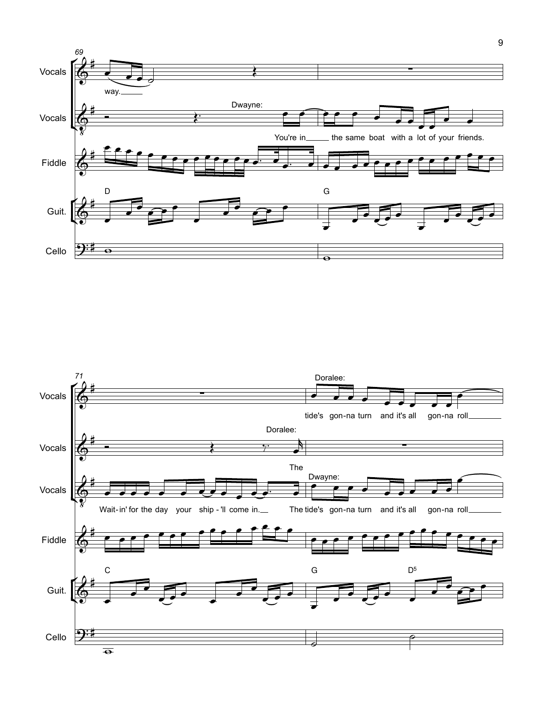

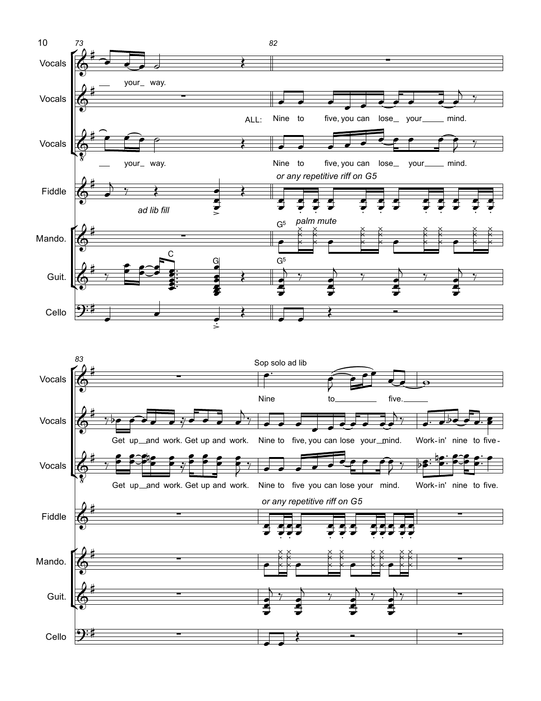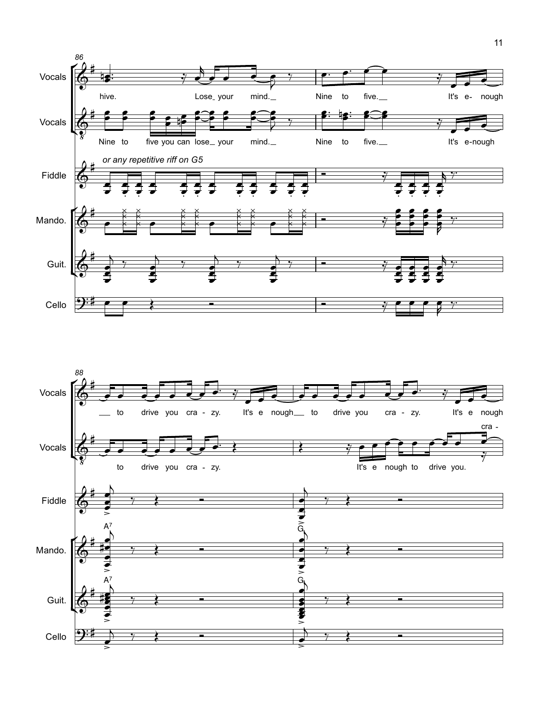